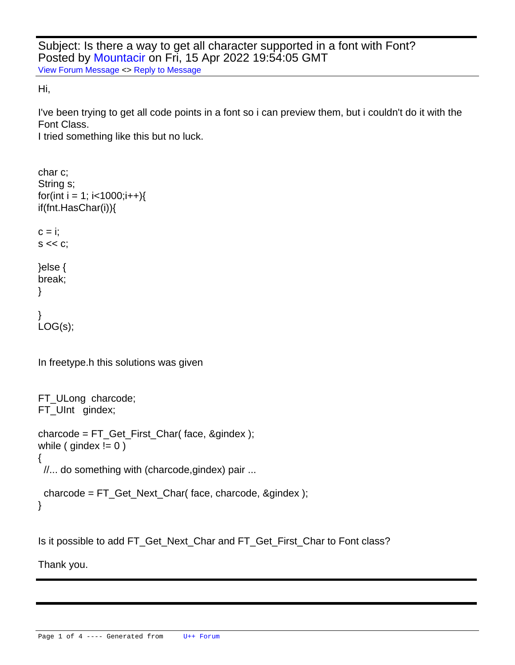Subject: Is there a way to get all character supported in a font with Font? Posted by [Mountacir](https://www.ultimatepp.org/forums/index.php?t=usrinfo&id=34745) on Fri, 15 Apr 2022 19:54:05 GMT [View Forum Message](https://www.ultimatepp.org/forums/index.php?t=rview&th=11791&goto=58308#msg_58308) <> [Reply to Message](https://www.ultimatepp.org/forums/index.php?t=post&reply_to=58308)

Hi,

I've been trying to get all code points in a font so i can preview them, but i couldn't do it with the Font Class.

I tried something like this but no luck.

```
char c;
String s;
for(int i = 1; i < 1000;i++\}{
	if(fnt.HasChar(i)){
 c = i;
 s \ll c;
	}else {
 		break;
	}
}
LOG(s);In freetype.h this solutions was given
```

```
FT_ULong charcode; 
FT_UInt gindex;
```

```
charcode = FT_Get_First_Char( face, &gindex ); 
while ( \text{gindex} := 0 )
```
{ //... do something with (charcode,gindex) pair ...

```
 charcode = FT_Get_Next_Char( face, charcode, &gindex ); 
}
```
Is it possible to add FT\_Get\_Next\_Char and FT\_Get\_First\_Char to Font class?

Thank you.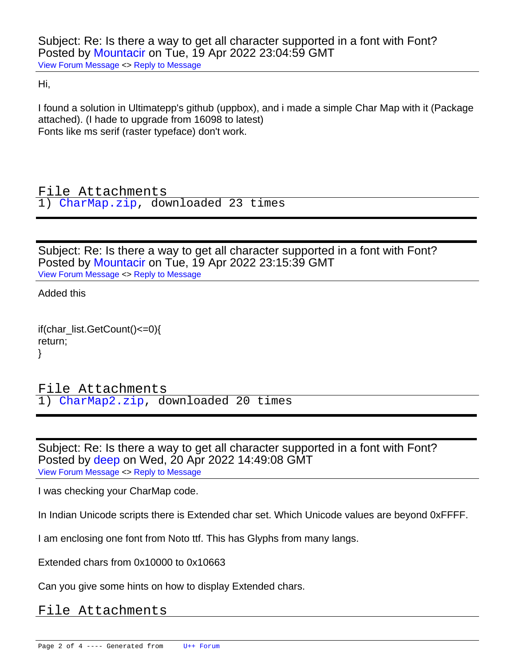Hi,

I found a solution in Ultimatepp's github (uppbox), and i made a simple Char Map with it (Package attached). (I hade to upgrade from 16098 to latest) Fonts like ms serif (raster typeface) don't work.

File Attachments

1) [CharMap.zip,](https://www.ultimatepp.org/forums/index.php?t=getfile&id=6585) downloaded 23 times

Subject: Re: Is there a way to get all character supported in a font with Font? Posted by [Mountacir](https://www.ultimatepp.org/forums/index.php?t=usrinfo&id=34745) on Tue, 19 Apr 2022 23:15:39 GMT [View Forum Message](https://www.ultimatepp.org/forums/index.php?t=rview&th=11791&goto=58317#msg_58317) <> [Reply to Message](https://www.ultimatepp.org/forums/index.php?t=post&reply_to=58317)

Added this

 if(char\_list.GetCount()<=0){ return; }

File Attachments 1) [CharMap2.zip](https://www.ultimatepp.org/forums/index.php?t=getfile&id=6587), downloaded 20 times

Subject: Re: Is there a way to get all character supported in a font with Font? Posted by [deep](https://www.ultimatepp.org/forums/index.php?t=usrinfo&id=1190) on Wed, 20 Apr 2022 14:49:08 GMT [View Forum Message](https://www.ultimatepp.org/forums/index.php?t=rview&th=11791&goto=58319#msg_58319) <> [Reply to Message](https://www.ultimatepp.org/forums/index.php?t=post&reply_to=58319)

I was checking your CharMap code.

In Indian Unicode scripts there is Extended char set. Which Unicode values are beyond 0xFFFF.

I am enclosing one font from Noto ttf. This has Glyphs from many langs.

Extended chars from 0x10000 to 0x10663

Can you give some hints on how to display Extended chars.

## File Attachments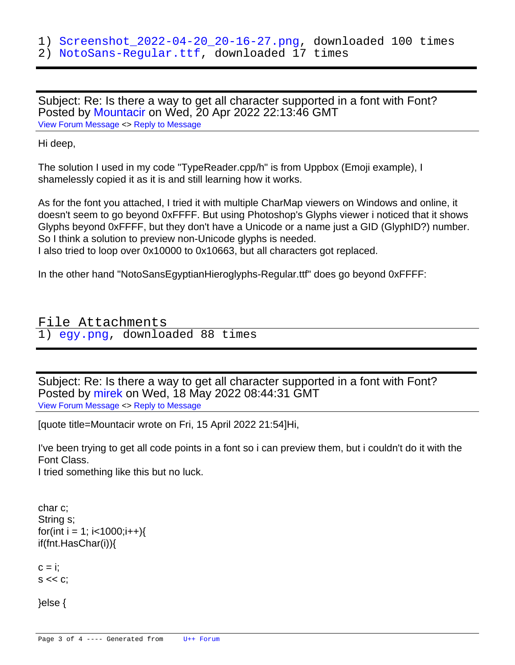2) [NotoSans-Regular.ttf,](https://www.ultimatepp.org/forums/index.php?t=getfile&id=6589) downloaded 17 times

Subject: Re: Is there a way to get all character supported in a font with Font? Posted by [Mountacir](https://www.ultimatepp.org/forums/index.php?t=usrinfo&id=34745) on Wed, 20 Apr 2022 22:13:46 GMT [View Forum Message](https://www.ultimatepp.org/forums/index.php?t=rview&th=11791&goto=58322#msg_58322) <> [Reply to Message](https://www.ultimatepp.org/forums/index.php?t=post&reply_to=58322)

## Hi deep,

The solution I used in my code "TypeReader.cpp/h" is from Uppbox (Emoji example), I shamelessly copied it as it is and still learning how it works.

As for the font you attached, I tried it with multiple CharMap viewers on Windows and online, it doesn't seem to go beyond 0xFFFF. But using Photoshop's Glyphs viewer i noticed that it shows Glyphs beyond 0xFFFF, but they don't have a Unicode or a name just a GID (GlyphID?) number. So I think a solution to preview non-Unicode glyphs is needed. I also tried to loop over 0x10000 to 0x10663, but all characters got replaced.

In the other hand "NotoSansEgyptianHieroglyphs-Regular.ttf" does go beyond 0xFFFF:

## File Attachments 1) [egy.png](https://www.ultimatepp.org/forums/index.php?t=getfile&id=6590), downloaded 88 times

Subject: Re: Is there a way to get all character supported in a font with Font? Posted by [mirek](https://www.ultimatepp.org/forums/index.php?t=usrinfo&id=3) on Wed, 18 May 2022 08:44:31 GMT [View Forum Message](https://www.ultimatepp.org/forums/index.php?t=rview&th=11791&goto=58411#msg_58411) <> [Reply to Message](https://www.ultimatepp.org/forums/index.php?t=post&reply_to=58411)

[quote title=Mountacir wrote on Fri, 15 April 2022 21:54]Hi,

I've been trying to get all code points in a font so i can preview them, but i couldn't do it with the Font Class.

I tried something like this but no luck.

```
char c;
String s;
for(int i = 1; i < 1000;i++\}{
	if(fnt.HasChar(i)){
```
 $c = i$ :  $S \ll C$ ;

 }else {